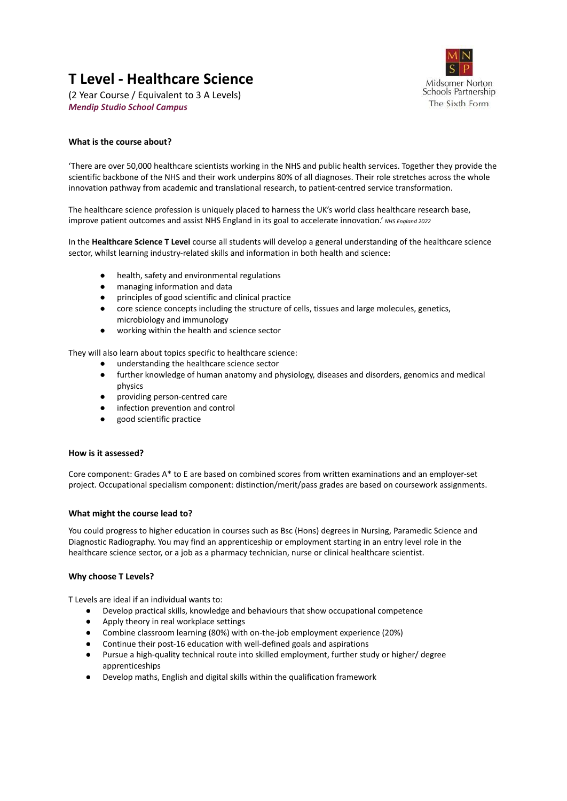## **T Level - Healthcare Science**

(2 Year Course / Equivalent to 3 A Levels) *Mendip Studio School Campus*



### **What is the course about?**

'There are over 50,000 healthcare scientists working in the NHS and public health services. Together they provide the scientific backbone of the NHS and their work underpins 80% of all diagnoses. Their role stretches across the whole innovation pathway from academic and translational research, to patient-centred service transformation.

The healthcare science profession is uniquely placed to harness the UK's world class healthcare research base, improve patient outcomes and assist NHS England in its goal to accelerate innovation.' *NHS England <sup>2022</sup>*

In the **Healthcare Science T Level** course all students will develop a general understanding of the healthcare science sector, whilst learning industry-related skills and information in both health and science:

- health, safety and environmental regulations
- managing information and data
- principles of good scientific and clinical practice
- core science concepts including the structure of cells, tissues and large molecules, genetics, microbiology and immunology
- working within the health and science sector

They will also learn about topics specific to healthcare science:

- understanding the healthcare science sector
- further knowledge of human anatomy and physiology, diseases and disorders, genomics and medical physics
- providing person-centred care
- infection prevention and control
- good scientific practice

### **How is it assessed?**

Core component: Grades A\* to E are based on combined scores from written examinations and an employer-set project. Occupational specialism component: distinction/merit/pass grades are based on coursework assignments.

### **What might the course lead to?**

You could progress to higher education in courses such as Bsc (Hons) degrees in Nursing, Paramedic Science and Diagnostic Radiography. You may find an apprenticeship or employment starting in an entry level role in the healthcare science sector, or a job as a pharmacy technician, nurse or clinical healthcare scientist.

### **Why choose T Levels?**

T Levels are ideal if an individual wants to:

- Develop practical skills, knowledge and behaviours that show occupational competence
- Apply theory in real workplace settings
- Combine classroom learning (80%) with on-the-job employment experience (20%)
- Continue their post-16 education with well-defined goals and aspirations
- Pursue a high-quality technical route into skilled employment, further study or higher/ degree apprenticeships
- Develop maths, English and digital skills within the qualification framework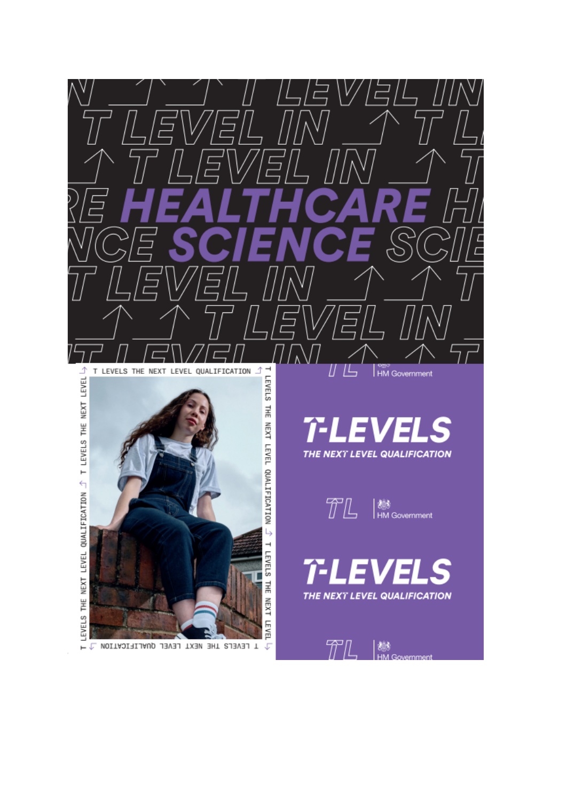